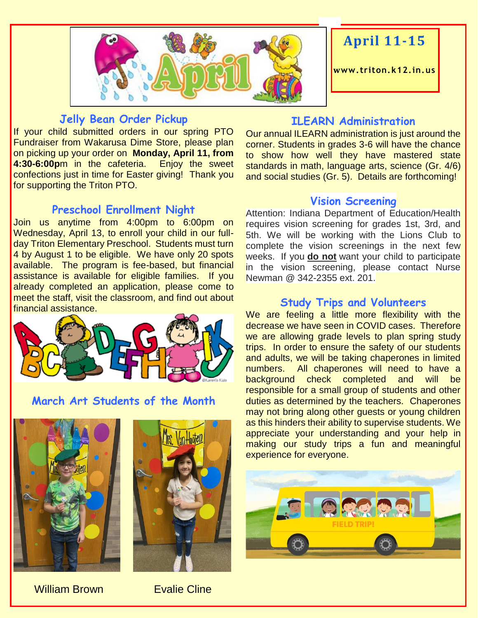

#### **Jelly Bean Order Pickup**

If your child submitted orders in our spring PTO Fundraiser from Wakarusa Dime Store, please plan on picking up your order on **Monday, April 11, from 4:30-6:00p**m in the cafeteria. Enjoy the sweet confections just in time for Easter giving! Thank you for supporting the Triton PTO.

# **Preschool Enrollment Night**

Join us anytime from 4:00pm to 6:00pm on Wednesday, April 13, to enroll your child in our fullday Triton Elementary Preschool. Students must turn 4 by August 1 to be eligible. We have only 20 spots available. The program is fee-based, but financial assistance is available for eligible families. If you already completed an application, please come to meet the staff, visit the classroom, and find out about financial assistance.



#### **March Art Students of the Month**





# **ILEARN Administration**

**April 11-15**

Our annual ILEARN administration is just around the corner. Students in grades 3-6 will have the chance to show how well they have mastered state standards in math, language arts, science (Gr. 4/6) and social studies (Gr. 5). Details are forthcoming!

#### **Vision Screening**

Attention: Indiana Department of Education/Health requires vision screening for grades 1st, 3rd, and 5th. We will be working with the Lions Club to complete the vision screenings in the next few weeks. If you **do not** want your child to participate in the vision screening, please contact Nurse Newman @ 342-2355 ext. 201.

### **Study Trips and Volunteers**

We are feeling a little more flexibility with the decrease we have seen in COVID cases. Therefore we are allowing grade levels to plan spring study trips. In order to ensure the safety of our students and adults, we will be taking chaperones in limited numbers. All chaperones will need to have a background check completed and will be responsible for a small group of students and other duties as determined by the teachers. Chaperones may not bring along other guests or young children as this hinders their ability to supervise students. We appreciate your understanding and your help in making our study trips a fun and meaningful experience for everyone.



#### William Brown **Evalie Cline**